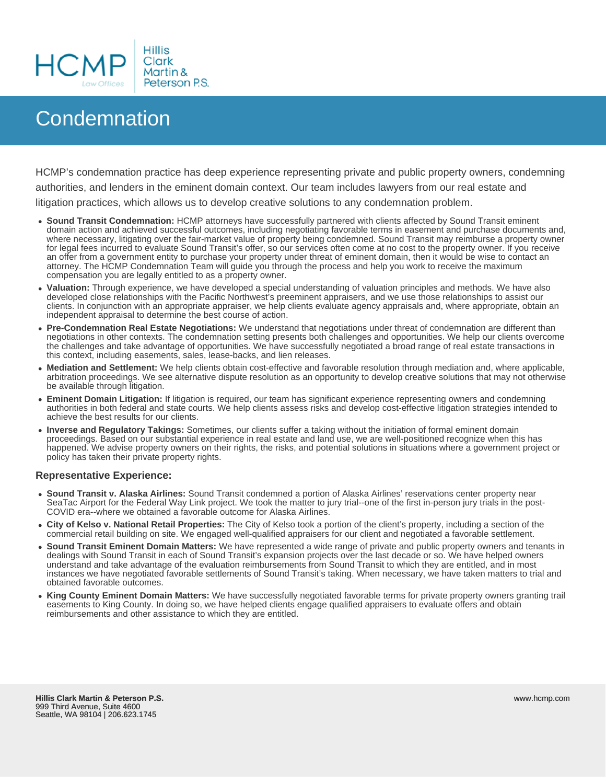

## **Condemnation**

HCMP's condemnation practice has deep experience representing private and public property owners, condemning authorities, and lenders in the eminent domain context. Our team includes lawyers from our real estate and litigation practices, which allows us to develop creative solutions to any condemnation problem.

- **Sound Transit Condemnation:** HCMP attorneys have successfully partnered with clients affected by Sound Transit eminent domain action and achieved successful outcomes, including negotiating favorable terms in easement and purchase documents and, where necessary, litigating over the fair-market value of property being condemned. Sound Transit may reimburse a property owner for legal fees incurred to evaluate Sound Transit's offer, so our services often come at no cost to the property owner. If you receive an offer from a government entity to purchase your property under threat of eminent domain, then it would be wise to contact an attorney. The HCMP Condemnation Team will guide you through the process and help you work to receive the maximum compensation you are legally entitled to as a property owner.
- **Valuation:** Through experience, we have developed a special understanding of valuation principles and methods. We have also developed close relationships with the Pacific Northwest's preeminent appraisers, and we use those relationships to assist our clients. In conjunction with an appropriate appraiser, we help clients evaluate agency appraisals and, where appropriate, obtain an independent appraisal to determine the best course of action.
- **Pre-Condemnation Real Estate Negotiations:** We understand that negotiations under threat of condemnation are different than negotiations in other contexts. The condemnation setting presents both challenges and opportunities. We help our clients overcome the challenges and take advantage of opportunities. We have successfully negotiated a broad range of real estate transactions in this context, including easements, sales, lease-backs, and lien releases.
- **Mediation and Settlement:** We help clients obtain cost-effective and favorable resolution through mediation and, where applicable, arbitration proceedings. We see alternative dispute resolution as an opportunity to develop creative solutions that may not otherwise be available through litigation.
- **Eminent Domain Litigation:** If litigation is required, our team has significant experience representing owners and condemning authorities in both federal and state courts. We help clients assess risks and develop cost-effective litigation strategies intended to achieve the best results for our clients.
- **Inverse and Regulatory Takings:** Sometimes, our clients suffer a taking without the initiation of formal eminent domain proceedings. Based on our substantial experience in real estate and land use, we are well-positioned recognize when this has happened. We advise property owners on their rights, the risks, and potential solutions in situations where a government project or policy has taken their private property rights.

## **Representative Experience:**

- **Sound Transit v. Alaska Airlines:** Sound Transit condemned a portion of Alaska Airlines' reservations center property near SeaTac Airport for the Federal Way Link project. We took the matter to jury trial--one of the first in-person jury trials in the post-COVID era--where we obtained a favorable outcome for Alaska Airlines.
- **City of Kelso v. National Retail Properties:** The City of Kelso took a portion of the client's property, including a section of the commercial retail building on site. We engaged well-qualified appraisers for our client and negotiated a favorable settlement.
- **Sound Transit Eminent Domain Matters:** We have represented a wide range of private and public property owners and tenants in dealings with Sound Transit in each of Sound Transit's expansion projects over the last decade or so. We have helped owners understand and take advantage of the evaluation reimbursements from Sound Transit to which they are entitled, and in most instances we have negotiated favorable settlements of Sound Transit's taking. When necessary, we have taken matters to trial and obtained favorable outcomes.
- **King County Eminent Domain Matters:** We have successfully negotiated favorable terms for private property owners granting trail easements to King County. In doing so, we have helped clients engage qualified appraisers to evaluate offers and obtain reimbursements and other assistance to which they are entitled.